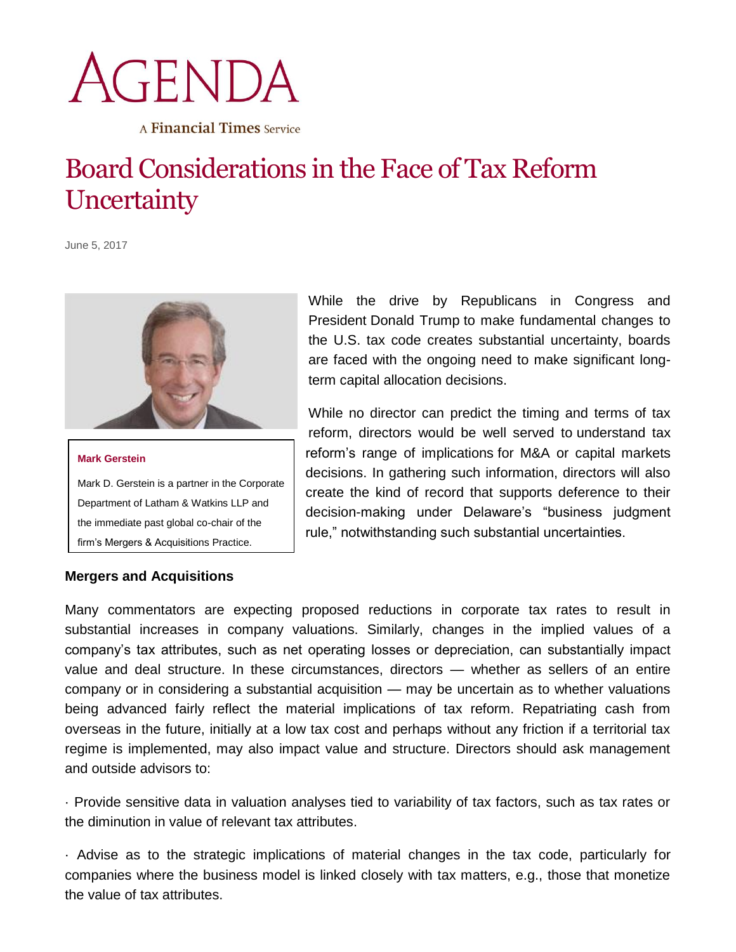## AGENDA

A Financial Times Service

## Board Considerations in the Face of Tax Reform **Uncertainty**

June 5, 2017





## **Mergers and Acquisitions**

While the drive by Republicans in Congress and President Donald Trump to make fundamental changes to the U.S. tax code creates substantial uncertainty, boards are faced with the ongoing need to make significant longterm capital allocation decisions.

While no director can predict the timing and terms of tax reform, directors would be well served to understand tax reform's range of implications for M&A or capital markets decisions. In gathering such information, directors will also create the kind of record that supports deference to their decision-making under Delaware's "business judgment rule," notwithstanding such substantial uncertainties.

Many commentators are expecting proposed reductions in corporate tax rates to result in substantial increases in company valuations. Similarly, changes in the implied values of a company's tax attributes, such as net operating losses or depreciation, can substantially impact value and deal structure. In these circumstances, directors — whether as sellers of an entire company or in considering a substantial acquisition — may be uncertain as to whether valuations being advanced fairly reflect the material implications of tax reform. Repatriating cash from overseas in the future, initially at a low tax cost and perhaps without any friction if a territorial tax regime is implemented, may also impact value and structure. Directors should ask management and outside advisors to:

· Provide sensitive data in valuation analyses tied to variability of tax factors, such as tax rates or the diminution in value of relevant tax attributes.

· Advise as to the strategic implications of material changes in the tax code, particularly for companies where the business model is linked closely with tax matters, e.g., those that monetize the value of tax attributes.